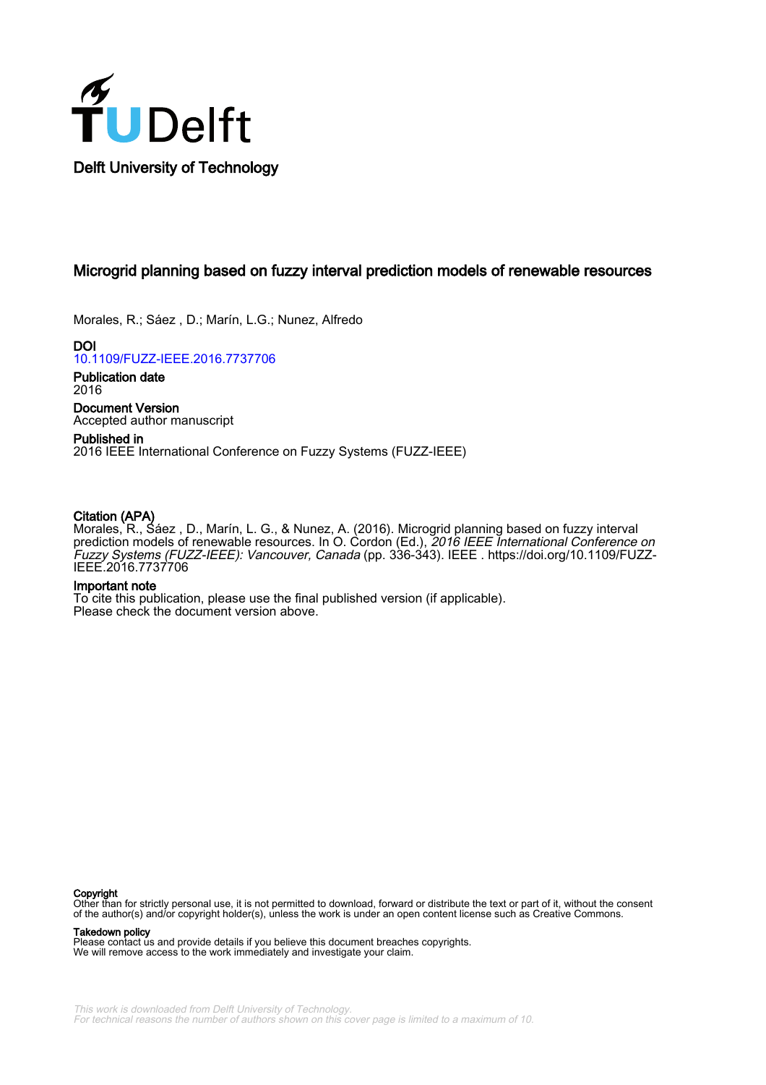

# Microgrid planning based on fuzzy interval prediction models of renewable resources

Morales, R.; Sáez , D.; Marín, L.G.; Nunez, Alfredo

DOI [10.1109/FUZZ-IEEE.2016.7737706](https://doi.org/10.1109/FUZZ-IEEE.2016.7737706)

Publication date 2016

Document Version Accepted author manuscript

# Published in 2016 IEEE International Conference on Fuzzy Systems (FUZZ-IEEE)

# Citation (APA)

Morales, R., Sáez , D., Marín, L. G., & Nunez, A. (2016). Microgrid planning based on fuzzy interval prediction models of renewable resources. In O. Cordon (Ed.), *2016 IEEE International Conference on* Fuzzy Systems (FUZZ-IEEE): Vancouver, Canada (pp. 336-343). IEEE . [https://doi.org/10.1109/FUZZ-](https://doi.org/10.1109/FUZZ-IEEE.2016.7737706)[IEEE.2016.7737706](https://doi.org/10.1109/FUZZ-IEEE.2016.7737706)

# Important note

To cite this publication, please use the final published version (if applicable). Please check the document version above.

#### **Copyright**

Other than for strictly personal use, it is not permitted to download, forward or distribute the text or part of it, without the consent of the author(s) and/or copyright holder(s), unless the work is under an open content license such as Creative Commons.

#### Takedown policy

Please contact us and provide details if you believe this document breaches copyrights. We will remove access to the work immediately and investigate your claim.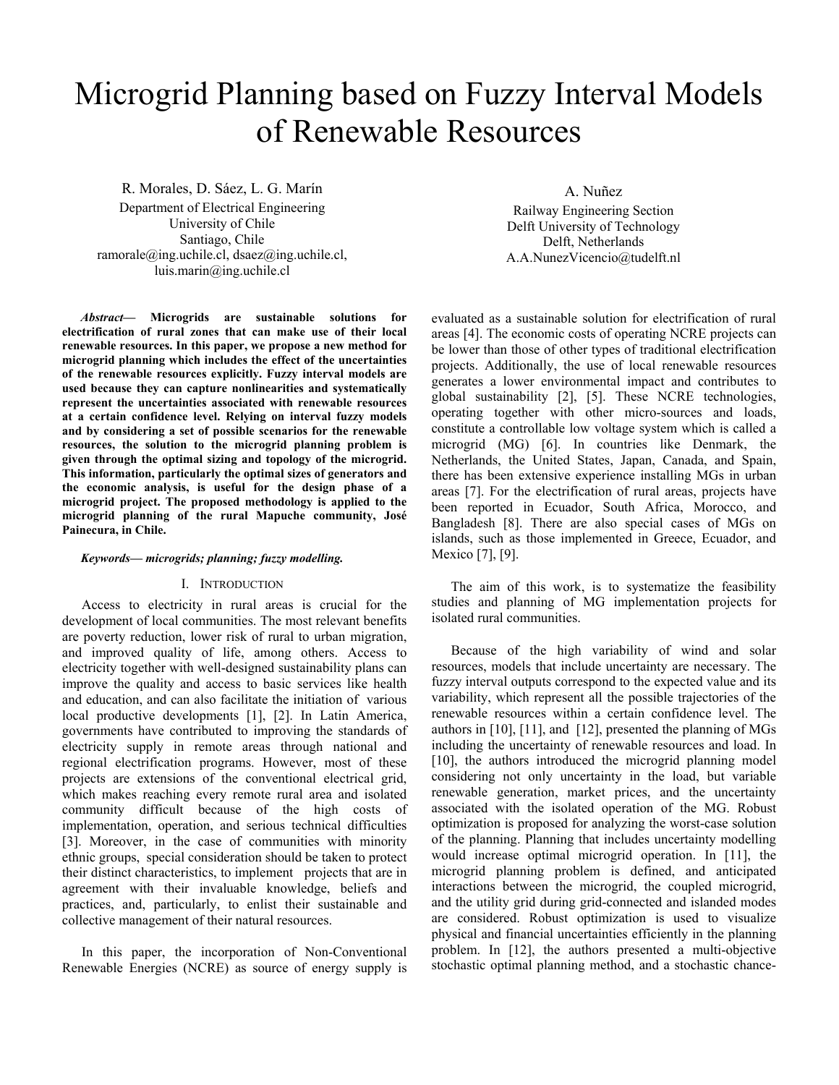# Microgrid Planning based on Fuzzy Interval Models of Renewable Resources

R. Morales, D. Sáez, L. G. Marín

Department of Electrical Engineering University of Chile Santiago, Chile ramorale@ing.uchile.cl, dsaez@ing.uchile.cl, luis.marin@ing.uchile.cl

*Abstract***— Microgrids are sustainable solutions for electrification of rural zones that can make use of their local renewable resources. In this paper, we propose a new method for microgrid planning which includes the effect of the uncertainties of the renewable resources explicitly. Fuzzy interval models are used because they can capture nonlinearities and systematically represent the uncertainties associated with renewable resources at a certain confidence level. Relying on interval fuzzy models and by considering a set of possible scenarios for the renewable resources, the solution to the microgrid planning problem is given through the optimal sizing and topology of the microgrid. This information, particularly the optimal sizes of generators and the economic analysis, is useful for the design phase of a microgrid project. The proposed methodology is applied to the microgrid planning of the rural Mapuche community, José Painecura, in Chile.**

#### *Keywords— microgrids; planning; fuzzy modelling.*

#### I. INTRODUCTION

Access to electricity in rural areas is crucial for the development of local communities. The most relevant benefits are poverty reduction, lower risk of rural to urban migration, and improved quality of life, among others. Access to electricity together with well-designed sustainability plans can improve the quality and access to basic services like health and education, and can also facilitate the initiation of various local productive developments [1], [2]. In Latin America, governments have contributed to improving the standards of electricity supply in remote areas through national and regional electrification programs. However, most of these projects are extensions of the conventional electrical grid, which makes reaching every remote rural area and isolated community difficult because of the high costs of implementation, operation, and serious technical difficulties [3]. Moreover, in the case of communities with minority ethnic groups, special consideration should be taken to protect their distinct characteristics, to implement projects that are in agreement with their invaluable knowledge, beliefs and practices, and, particularly, to enlist their sustainable and collective management of their natural resources.

In this paper, the incorporation of Non-Conventional Renewable Energies (NCRE) as source of energy supply is A. Nuñez

Railway Engineering Section Delft University of Technology Delft, Netherlands A.A.NunezVicencio@tudelft.nl

evaluated as a sustainable solution for electrification of rural areas [4]. The economic costs of operating NCRE projects can be lower than those of other types of traditional electrification projects. Additionally, the use of local renewable resources generates a lower environmental impact and contributes to global sustainability [2], [5]. These NCRE technologies, operating together with other micro-sources and loads, constitute a controllable low voltage system which is called a microgrid (MG) [6]. In countries like Denmark, the Netherlands, the United States, Japan, Canada, and Spain, there has been extensive experience installing MGs in urban areas [7]. For the electrification of rural areas, projects have been reported in Ecuador, South Africa, Morocco, and Bangladesh [8]. There are also special cases of MGs on islands, such as those implemented in Greece, Ecuador, and Mexico [7], [9].

The aim of this work, is to systematize the feasibility studies and planning of MG implementation projects for isolated rural communities.

Because of the high variability of wind and solar resources, models that include uncertainty are necessary. The fuzzy interval outputs correspond to the expected value and its variability, which represent all the possible trajectories of the renewable resources within a certain confidence level. The authors in [10], [11], and [12], presented the planning of MGs including the uncertainty of renewable resources and load. In [10], the authors introduced the microgrid planning model considering not only uncertainty in the load, but variable renewable generation, market prices, and the uncertainty associated with the isolated operation of the MG. Robust optimization is proposed for analyzing the worst-case solution of the planning. Planning that includes uncertainty modelling would increase optimal microgrid operation. In [11], the microgrid planning problem is defined, and anticipated interactions between the microgrid, the coupled microgrid, and the utility grid during grid-connected and islanded modes are considered. Robust optimization is used to visualize physical and financial uncertainties efficiently in the planning problem. In [12], the authors presented a multi-objective stochastic optimal planning method, and a stochastic chance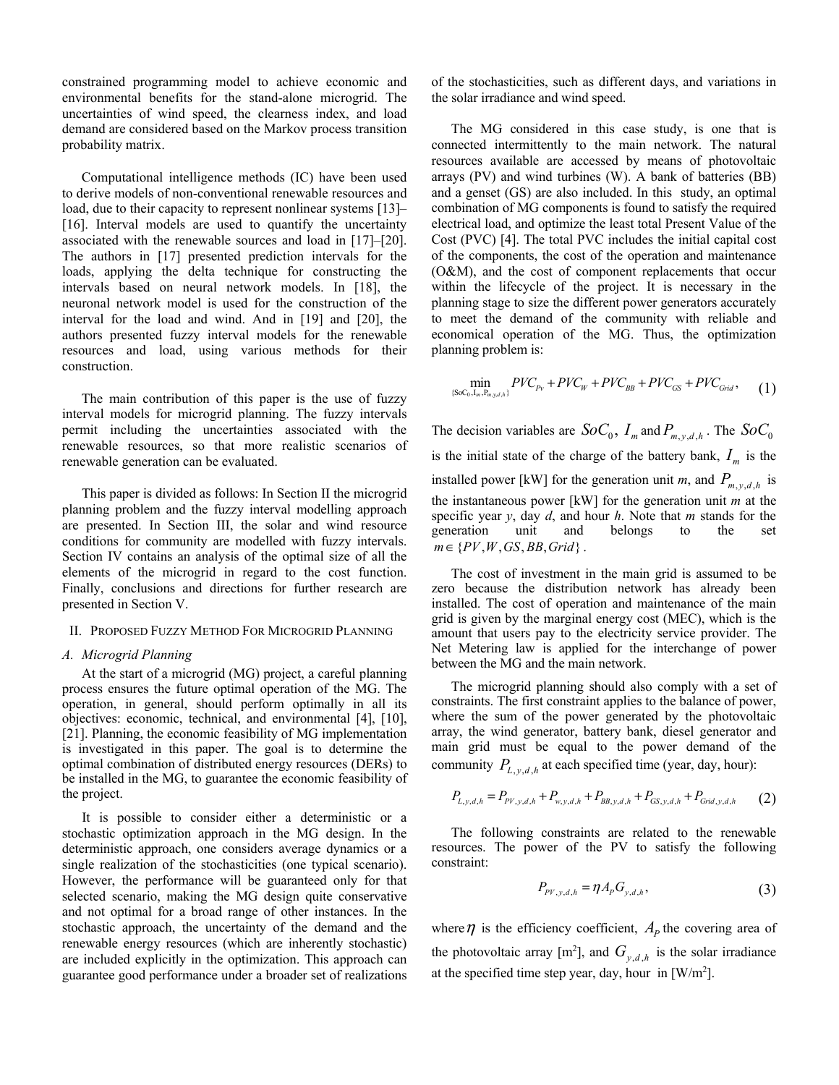constrained programming model to achieve economic and environmental benefits for the stand-alone microgrid. The uncertainties of wind speed, the clearness index, and load demand are considered based on the Markov process transition probability matrix.

Computational intelligence methods (IC) have been used to derive models of non-conventional renewable resources and load, due to their capacity to represent nonlinear systems [13]– [16]. Interval models are used to quantify the uncertainty associated with the renewable sources and load in [17]–[20]. The authors in [17] presented prediction intervals for the loads, applying the delta technique for constructing the intervals based on neural network models. In [18], the neuronal network model is used for the construction of the interval for the load and wind. And in [19] and [20], the authors presented fuzzy interval models for the renewable resources and load, using various methods for their construction.

The main contribution of this paper is the use of fuzzy interval models for microgrid planning. The fuzzy intervals permit including the uncertainties associated with the renewable resources, so that more realistic scenarios of renewable generation can be evaluated.

This paper is divided as follows: In Section II the microgrid planning problem and the fuzzy interval modelling approach are presented. In Section III, the solar and wind resource conditions for community are modelled with fuzzy intervals. Section IV contains an analysis of the optimal size of all the elements of the microgrid in regard to the cost function. Finally, conclusions and directions for further research are presented in Section V.

#### II. PROPOSED FUZZY METHOD FOR MICROGRID PLANNING

#### *A. Microgrid Planning*

At the start of a microgrid (MG) project, a careful planning process ensures the future optimal operation of the MG. The operation, in general, should perform optimally in all its objectives: economic, technical, and environmental [4], [10], [21]. Planning, the economic feasibility of MG implementation is investigated in this paper. The goal is to determine the optimal combination of distributed energy resources (DERs) to be installed in the MG, to guarantee the economic feasibility of the project.

It is possible to consider either a deterministic or a stochastic optimization approach in the MG design. In the deterministic approach, one considers average dynamics or a single realization of the stochasticities (one typical scenario). However, the performance will be guaranteed only for that selected scenario, making the MG design quite conservative and not optimal for a broad range of other instances. In the stochastic approach, the uncertainty of the demand and the renewable energy resources (which are inherently stochastic) are included explicitly in the optimization. This approach can guarantee good performance under a broader set of realizations of the stochasticities, such as different days, and variations in the solar irradiance and wind speed.

The MG considered in this case study, is one that is connected intermittently to the main network. The natural resources available are accessed by means of photovoltaic arrays (PV) and wind turbines (W). A bank of batteries (BB) and a genset (GS) are also included. In this study, an optimal combination of MG components is found to satisfy the required electrical load, and optimize the least total Present Value of the Cost (PVC) [4]. The total PVC includes the initial capital cost of the components, the cost of the operation and maintenance (O&M), and the cost of component replacements that occur within the lifecycle of the project. It is necessary in the planning stage to size the different power generators accurately to meet the demand of the community with reliable and economical operation of the MG. Thus, the optimization planning problem is:

$$
\min_{\{Soc_0, I_m, P_{m,y,d,h}\}} PVC_{P_V} + PVC_W + PVC_{BB} + PVC_{GS} + PVC_{Grid},\tag{1}
$$

The decision variables are  $SoC_0$ ,  $I_m$  and  $P_{m \nu d h}$ . The  $SoC_0$ is the initial state of the charge of the battery bank,  $I_m$  is the installed power [kW] for the generation unit *m*, and  $P_{m v d h}$  is the instantaneous power [kW] for the generation unit *m* at the specific year *y*, day *d*, and hour *h*. Note that *m* stands for the generation unit and belongs to the set  $m \in \{PV, W, GS, BB, Grid\}$ .

The cost of investment in the main grid is assumed to be zero because the distribution network has already been installed. The cost of operation and maintenance of the main grid is given by the marginal energy cost (MEC), which is the amount that users pay to the electricity service provider. The Net Metering law is applied for the interchange of power between the MG and the main network.

The microgrid planning should also comply with a set of constraints. The first constraint applies to the balance of power, where the sum of the power generated by the photovoltaic array, the wind generator, battery bank, diesel generator and main grid must be equal to the power demand of the community  $P_{L, y, d, h}$  at each specified time (year, day, hour):

$$
P_{L,y,d,h} = P_{PV,y,d,h} + P_{w,y,d,h} + P_{BB,y,d,h} + P_{GS,y,d,h} + P_{Grid,y,d,h}
$$
 (2)

The following constraints are related to the renewable resources. The power of the PV to satisfy the following constraint:

$$
P_{p_{V,y,d,h}} = \eta A_p G_{y,d,h},\tag{3}
$$

where  $\eta$  is the efficiency coefficient,  $A_p$  the covering area of the photovoltaic array  $[m^2]$ , and  $G_{y,d,h}$  is the solar irradiance at the specified time step year, day, hour in  $\lceil W/m^2 \rceil$ .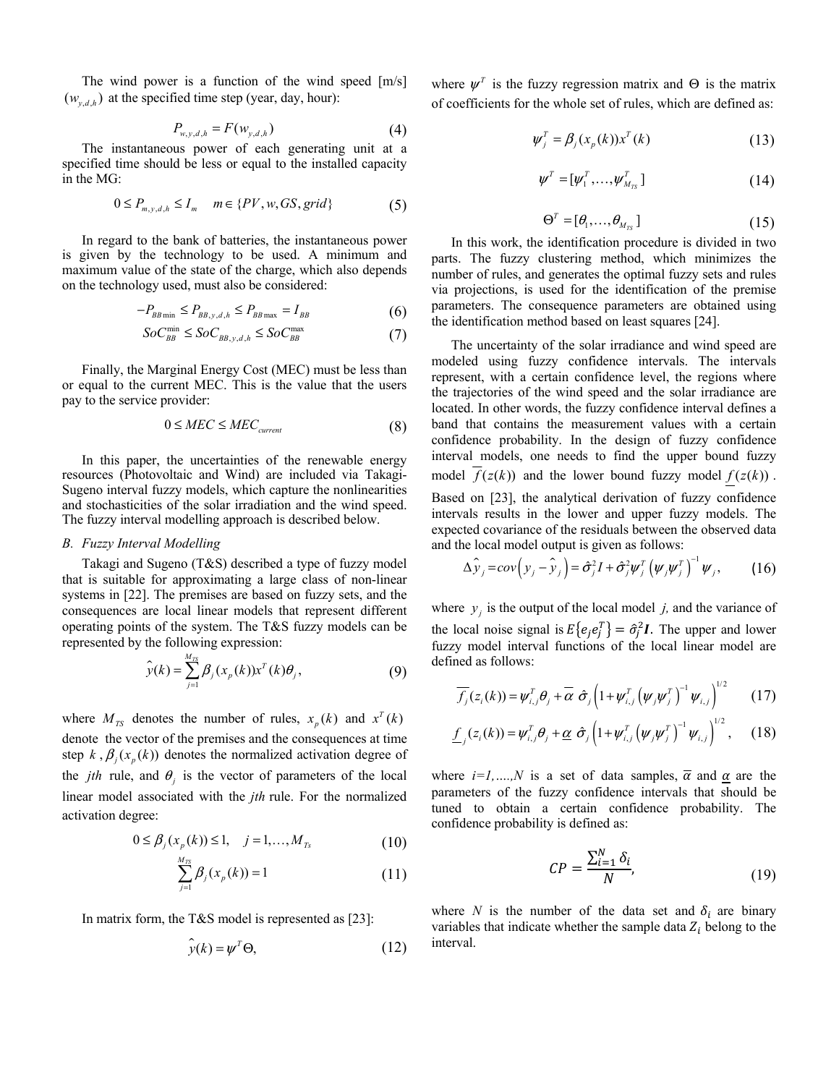The wind power is a function of the wind speed [m/s]  $(w_{\nu dh})$  at the specified time step (year, day, hour):

$$
P_{w,y,d,h} = F(w_{y,d,h})
$$
\n<sup>(4)</sup>

The instantaneous power of each generating unit at a specified time should be less or equal to the installed capacity in the MG:

$$
0 \le P_{m,y,d,h} \le I_m \quad m \in \{PV, w, GS, grid\} \tag{5}
$$

In regard to the bank of batteries, the instantaneous power is given by the technology to be used. A minimum and maximum value of the state of the charge, which also depends on the technology used, must also be considered:

$$
-P_{BB\min} \le P_{BB,y,d,h} \le P_{BB\max} = I_{BB} \tag{6}
$$

$$
SoC_{BB}^{\min} \le SoC_{BB,y,d,h} \le SoC_{BB}^{\max} \tag{7}
$$

Finally, the Marginal Energy Cost (MEC) must be less than or equal to the current MEC. This is the value that the users pay to the service provider:

$$
0 \leq MEC \leq MEC_{current} \tag{8}
$$

In this paper, the uncertainties of the renewable energy resources (Photovoltaic and Wind) are included via Takagi-Sugeno interval fuzzy models, which capture the nonlinearities and stochasticities of the solar irradiation and the wind speed. The fuzzy interval modelling approach is described below.

#### *B. Fuzzy Interval Modelling*

Takagi and Sugeno (T&S) described a type of fuzzy model that is suitable for approximating a large class of non-linear systems in [22]. The premises are based on fuzzy sets, and the consequences are local linear models that represent different operating points of the system. The T&S fuzzy models can be represented by the following expression:

$$
\widehat{\mathbf{y}}(k) = \sum_{j=1}^{M_{TS}} \beta_j(x_p(k)) \mathbf{x}^T(k) \theta_j, \tag{9}
$$

where  $M_{TS}$  denotes the number of rules,  $x_p(k)$  and  $x^T(k)$ denote the vector of the premises and the consequences at time step  $k$ ,  $\beta_i(x_n(k))$  denotes the normalized activation degree of the *jth* rule, and  $\theta_i$  is the vector of parameters of the local linear model associated with the *jth* rule. For the normalized activation degree:

$$
0 \le \beta_j(x_p(k)) \le 1, \quad j = 1, ..., M_{Ts}
$$
 (10)

$$
\sum_{j=1}^{M_{TS}} \beta_j(x_p(k)) = 1 \tag{11}
$$

In matrix form, the T&S model is represented as [23]:

$$
\hat{\mathbf{y}}(k) = \boldsymbol{\psi}^T \boldsymbol{\Theta},\tag{12}
$$

where  $\psi^T$  is the fuzzy regression matrix and  $\Theta$  is the matrix of coefficients for the whole set of rules, which are defined as:

$$
\psi_j^T = \beta_j(x_p(k))x^T(k) \tag{13}
$$

$$
\boldsymbol{\psi}^T = [\boldsymbol{\psi}_1^T, \dots, \boldsymbol{\psi}_{M_{TS}}^T] \tag{14}
$$

$$
\Theta^T = [\theta_1, \dots, \theta_{M_{TS}}] \tag{15}
$$

In this work, the identification procedure is divided in two parts. The fuzzy clustering method, which minimizes the number of rules, and generates the optimal fuzzy sets and rules via projections, is used for the identification of the premise parameters. The consequence parameters are obtained using the identification method based on least squares [24].

The uncertainty of the solar irradiance and wind speed are modeled using fuzzy confidence intervals. The intervals represent, with a certain confidence level, the regions where the trajectories of the wind speed and the solar irradiance are located. In other words, the fuzzy confidence interval defines a band that contains the measurement values with a certain confidence probability. In the design of fuzzy confidence interval models, one needs to find the upper bound fuzzy model  $\overline{f}(z(k))$  and the lower bound fuzzy model  $f(z(k))$ . Based on [23], the analytical derivation of fuzzy confidence

intervals results in the lower and upper fuzzy models. The expected covariance of the residuals between the observed data and the local model output is given as follows:

$$
\Delta \hat{\mathbf{y}}_j = cov(\mathbf{y}_j - \hat{\mathbf{y}}_j) = \hat{\sigma}_j^2 I + \hat{\sigma}_j^2 \boldsymbol{\psi}_j^T (\boldsymbol{\psi}_j \boldsymbol{\psi}_j^T)^{-1} \boldsymbol{\psi}_j, \qquad (16)
$$

where  $y_i$  is the output of the local model *j*, and the variance of the local noise signal is  $E\{e_j e_j^T\} = \hat{\sigma}_j^2 I$ . The upper and lower fuzzy model interval functions of the local linear model are defined as follows:

$$
\overline{f_j}(z_i(k)) = \psi_{i,j}^T \theta_j + \overline{\alpha} \hat{\sigma}_j \left( 1 + \psi_{i,j}^T \left( \psi_j \psi_j^T \right)^{-1} \psi_{i,j} \right)^{1/2} \qquad (17)
$$

$$
\underline{f}_j(z_i(k)) = \psi_{i,j}^T \theta_j + \underline{\alpha} \hat{\sigma}_j \left( 1 + \psi_{i,j}^T \left( \psi_j \psi_j^T \right)^{-1} \psi_{i,j} \right)^{1/2}, \quad (18)
$$

where  $i=1,...,N$  is a set of data samples,  $\overline{\alpha}$  and  $\alpha$  are the parameters of the fuzzy confidence intervals that should be tuned to obtain a certain confidence probability. The confidence probability is defined as:

$$
CP = \frac{\sum_{i=1}^{N} \delta_i}{N},\tag{19}
$$

where *N* is the number of the data set and  $\delta_i$  are binary variables that indicate whether the sample data  $Z_i$  belong to the interval.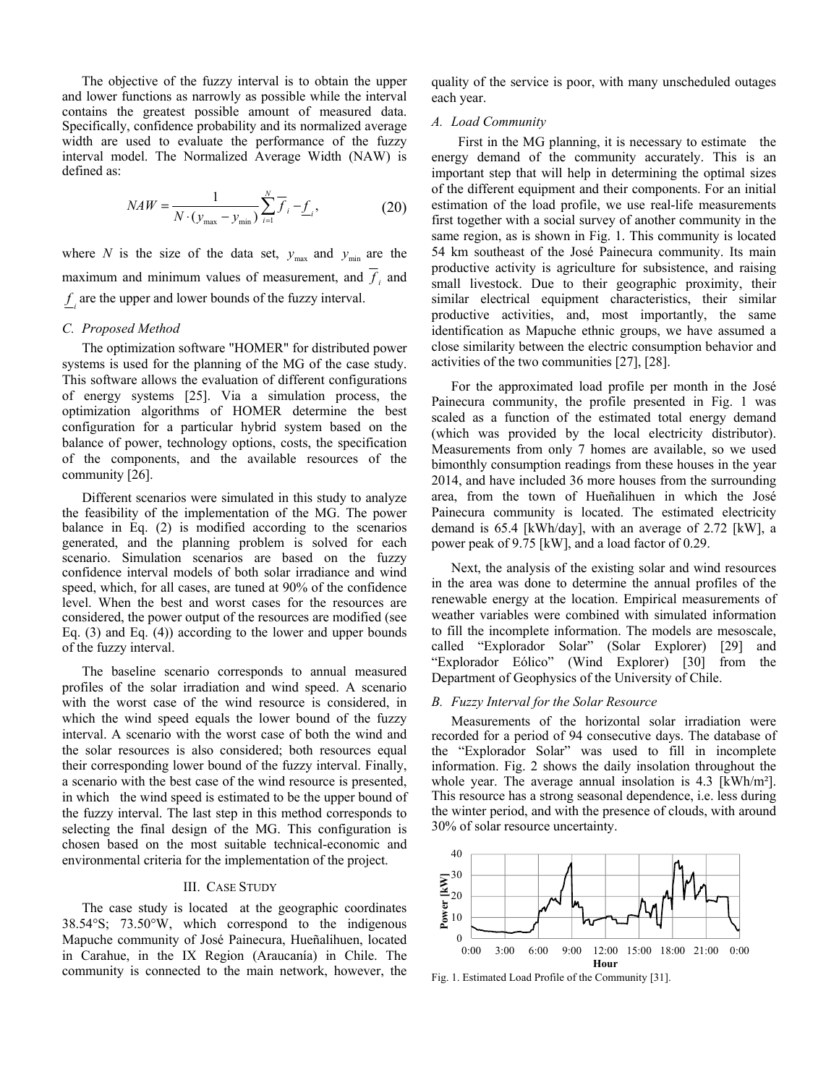The objective of the fuzzy interval is to obtain the upper and lower functions as narrowly as possible while the interval contains the greatest possible amount of measured data. Specifically, confidence probability and its normalized average width are used to evaluate the performance of the fuzzy interval model. The Normalized Average Width (NAW) is defined as:

$$
NAW = \frac{1}{N \cdot (y_{\text{max}} - y_{\text{min}})} \sum_{i=1}^{N} \overline{f}_{i} - \underline{f}_{i},
$$
 (20)

where *N* is the size of the data set,  $y_{\text{max}}$  and  $y_{\text{min}}$  are the maximum and minimum values of measurement, and  $f_i$  and  $f_i$  are the upper and lower bounds of the fuzzy interval.

#### *C. Proposed Method*

The optimization software "HOMER" for distributed power systems is used for the planning of the MG of the case study. This software allows the evaluation of different configurations of energy systems [25]. Via a simulation process, the optimization algorithms of HOMER determine the best configuration for a particular hybrid system based on the balance of power, technology options, costs, the specification of the components, and the available resources of the community [26].

Different scenarios were simulated in this study to analyze the feasibility of the implementation of the MG. The power balance in Eq. (2) is modified according to the scenarios generated, and the planning problem is solved for each scenario. Simulation scenarios are based on the fuzzy confidence interval models of both solar irradiance and wind speed, which, for all cases, are tuned at 90% of the confidence level. When the best and worst cases for the resources are considered, the power output of the resources are modified (see Eq. (3) and Eq. (4)) according to the lower and upper bounds of the fuzzy interval.

The baseline scenario corresponds to annual measured profiles of the solar irradiation and wind speed. A scenario with the worst case of the wind resource is considered, in which the wind speed equals the lower bound of the fuzzy interval. A scenario with the worst case of both the wind and the solar resources is also considered; both resources equal their corresponding lower bound of the fuzzy interval. Finally, a scenario with the best case of the wind resource is presented, in which the wind speed is estimated to be the upper bound of the fuzzy interval. The last step in this method corresponds to selecting the final design of the MG. This configuration is chosen based on the most suitable technical-economic and environmental criteria for the implementation of the project.

## III. CASE STUDY

The case study is located at the geographic coordinates 38.54°S; 73.50°W, which correspond to the indigenous Mapuche community of José Painecura, Hueñalihuen, located in Carahue, in the IX Region (Araucanía) in Chile. The community is connected to the main network, however, the quality of the service is poor, with many unscheduled outages each year.

#### *A. Load Community*

 First in the MG planning, it is necessary to estimate the energy demand of the community accurately. This is an important step that will help in determining the optimal sizes of the different equipment and their components. For an initial estimation of the load profile, we use real-life measurements first together with a social survey of another community in the same region, as is shown in Fig. 1. This community is located 54 km southeast of the José Painecura community. Its main productive activity is agriculture for subsistence, and raising small livestock. Due to their geographic proximity, their similar electrical equipment characteristics, their similar productive activities, and, most importantly, the same identification as Mapuche ethnic groups, we have assumed a close similarity between the electric consumption behavior and activities of the two communities [27], [28].

For the approximated load profile per month in the José Painecura community, the profile presented in Fig. 1 was scaled as a function of the estimated total energy demand (which was provided by the local electricity distributor). Measurements from only 7 homes are available, so we used bimonthly consumption readings from these houses in the year 2014, and have included 36 more houses from the surrounding area, from the town of Hueñalihuen in which the José Painecura community is located. The estimated electricity demand is 65.4 [kWh/day], with an average of 2.72 [kW], a power peak of 9.75 [kW], and a load factor of 0.29.

Next, the analysis of the existing solar and wind resources in the area was done to determine the annual profiles of the renewable energy at the location. Empirical measurements of weather variables were combined with simulated information to fill the incomplete information. The models are mesoscale, called "Explorador Solar" (Solar Explorer) [29] and "Explorador Eólico" (Wind Explorer) [30] from the Department of Geophysics of the University of Chile.

#### *B. Fuzzy Interval for the Solar Resource*

Measurements of the horizontal solar irradiation were recorded for a period of 94 consecutive days. The database of the "Explorador Solar" was used to fill in incomplete information. Fig. 2 shows the daily insolation throughout the whole year. The average annual insolation is 4.3 [kWh/m<sup>2</sup>]. This resource has a strong seasonal dependence, i.e. less during the winter period, and with the presence of clouds, with around 30% of solar resource uncertainty.



Fig. 1. Estimated Load Profile of the Community [31].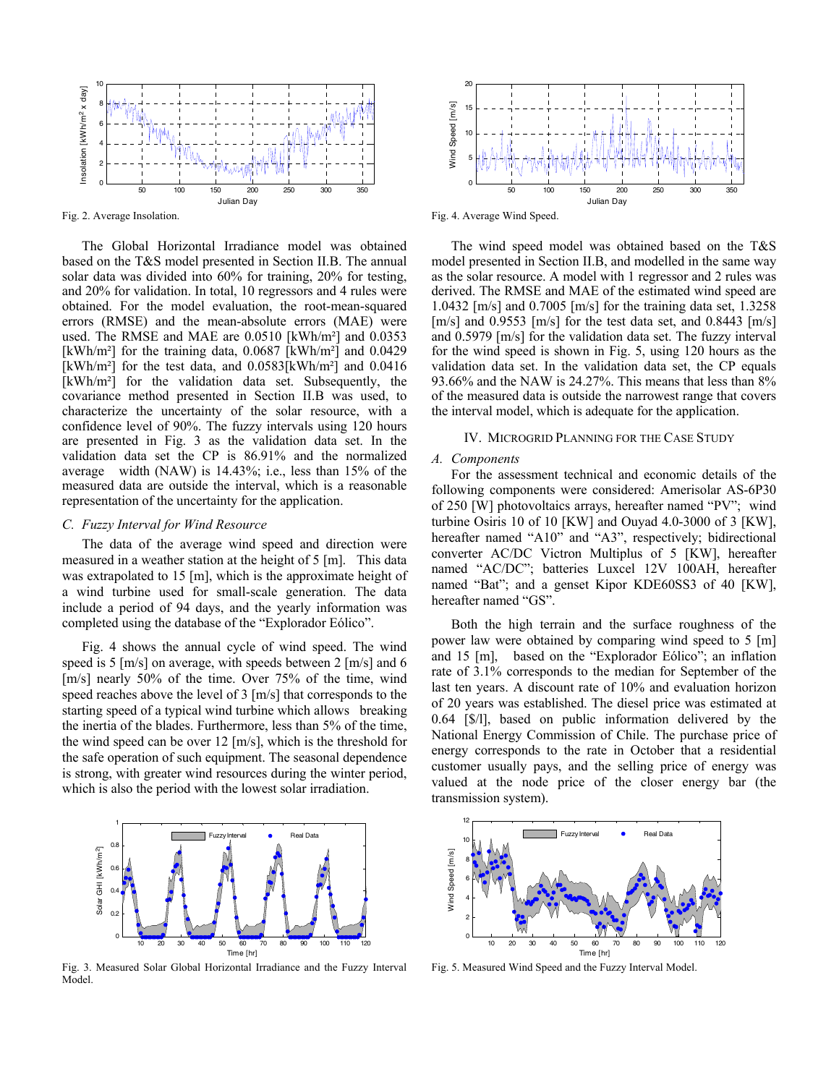

Fig. 2. Average Insolation.

The Global Horizontal Irradiance model was obtained based on the T&S model presented in Section II.B. The annual solar data was divided into 60% for training, 20% for testing, and 20% for validation. In total, 10 regressors and 4 rules were obtained. For the model evaluation, the root-mean-squared errors (RMSE) and the mean-absolute errors (MAE) were used. The RMSE and MAE are 0.0510 [kWh/m²] and 0.0353 [kWh/m<sup>2</sup>] for the training data, 0.0687 [kWh/m<sup>2</sup>] and 0.0429 [kWh/m<sup>2</sup>] for the test data, and  $0.0583$ [kWh/m<sup>2</sup>] and  $0.0416$ [kWh/m<sup>2</sup>] for the validation data set. Subsequently, the covariance method presented in Section II.B was used, to characterize the uncertainty of the solar resource, with a confidence level of 90%. The fuzzy intervals using 120 hours are presented in Fig. 3 as the validation data set. In the validation data set the CP is 86.91% and the normalized average width (NAW) is 14.43%; i.e., less than 15% of the measured data are outside the interval, which is a reasonable representation of the uncertainty for the application.

#### *C. Fuzzy Interval for Wind Resource*

The data of the average wind speed and direction were measured in a weather station at the height of 5 [m]. This data was extrapolated to 15 [m], which is the approximate height of a wind turbine used for small-scale generation. The data include a period of 94 days, and the yearly information was completed using the database of the "Explorador Eólico".

Fig. 4 shows the annual cycle of wind speed. The wind speed is 5 [m/s] on average, with speeds between 2 [m/s] and 6 [m/s] nearly 50% of the time. Over 75% of the time, wind speed reaches above the level of 3 [m/s] that corresponds to the starting speed of a typical wind turbine which allows breaking the inertia of the blades. Furthermore, less than 5% of the time, the wind speed can be over 12 [m/s], which is the threshold for the safe operation of such equipment. The seasonal dependence is strong, with greater wind resources during the winter period, which is also the period with the lowest solar irradiation.



Fig. 3. Measured Solar Global Horizontal Irradiance and the Fuzzy Interval Model.



Fig. 4. Average Wind Speed.

The wind speed model was obtained based on the T&S model presented in Section II.B, and modelled in the same way as the solar resource. A model with 1 regressor and 2 rules was derived. The RMSE and MAE of the estimated wind speed are 1.0432 [m/s] and 0.7005 [m/s] for the training data set, 1.3258 [m/s] and 0.9553 [m/s] for the test data set, and 0.8443 [m/s] and 0.5979 [m/s] for the validation data set. The fuzzy interval for the wind speed is shown in Fig. 5, using 120 hours as the validation data set. In the validation data set, the CP equals 93.66% and the NAW is 24.27%. This means that less than 8% of the measured data is outside the narrowest range that covers the interval model, which is adequate for the application.

## IV. MICROGRID PLANNING FOR THE CASE STUDY

#### *A. Components*

For the assessment technical and economic details of the following components were considered: Amerisolar AS-6P30 of 250 [W] photovoltaics arrays, hereafter named "PV"; wind turbine Osiris 10 of 10 [KW] and Ouyad 4.0-3000 of 3 [KW], hereafter named "A10" and "A3", respectively; bidirectional converter AC/DC Victron Multiplus of 5 [KW], hereafter named "AC/DC"; batteries Luxcel 12V 100AH, hereafter named "Bat"; and a genset Kipor KDE60SS3 of 40 [KW], hereafter named "GS".

Both the high terrain and the surface roughness of the power law were obtained by comparing wind speed to 5 [m] and 15 [m], based on the "Explorador Eólico"; an inflation rate of 3.1% corresponds to the median for September of the last ten years. A discount rate of 10% and evaluation horizon of 20 years was established. The diesel price was estimated at 0.64 [\$/l], based on public information delivered by the National Energy Commission of Chile. The purchase price of energy corresponds to the rate in October that a residential customer usually pays, and the selling price of energy was valued at the node price of the closer energy bar (the transmission system).



Fig. 5. Measured Wind Speed and the Fuzzy Interval Model.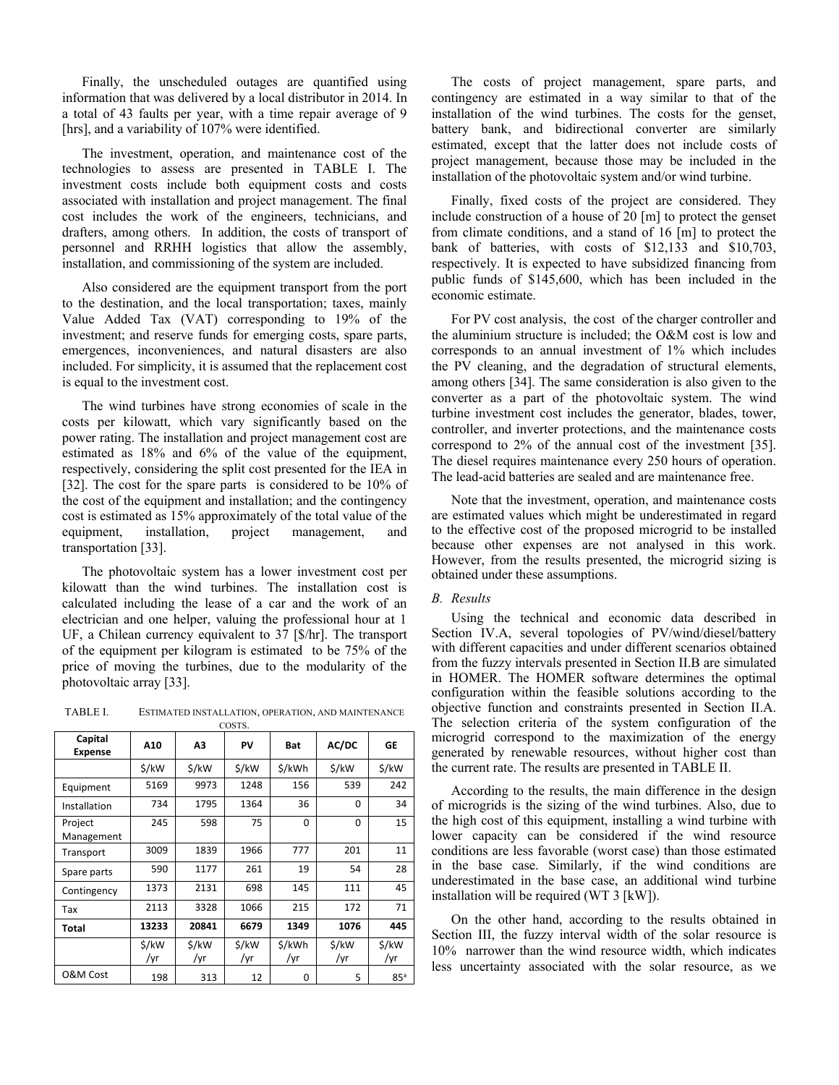Finally, the unscheduled outages are quantified using information that was delivered by a local distributor in 2014. In a total of 43 faults per year, with a time repair average of 9 [hrs], and a variability of 107% were identified.

The investment, operation, and maintenance cost of the technologies to assess are presented in TABLE I. The investment costs include both equipment costs and costs associated with installation and project management. The final cost includes the work of the engineers, technicians, and drafters, among others. In addition, the costs of transport of personnel and RRHH logistics that allow the assembly, installation, and commissioning of the system are included.

Also considered are the equipment transport from the port to the destination, and the local transportation; taxes, mainly Value Added Tax (VAT) corresponding to 19% of the investment; and reserve funds for emerging costs, spare parts, emergences, inconveniences, and natural disasters are also included. For simplicity, it is assumed that the replacement cost is equal to the investment cost.

The wind turbines have strong economies of scale in the costs per kilowatt, which vary significantly based on the power rating. The installation and project management cost are estimated as 18% and 6% of the value of the equipment, respectively, considering the split cost presented for the IEA in [32]. The cost for the spare parts is considered to be 10% of the cost of the equipment and installation; and the contingency cost is estimated as 15% approximately of the total value of the equipment, installation, project management, and transportation [33].

The photovoltaic system has a lower investment cost per kilowatt than the wind turbines. The installation cost is calculated including the lease of a car and the work of an electrician and one helper, valuing the professional hour at 1 UF, a Chilean currency equivalent to 37 [\$/hr]. The transport of the equipment per kilogram is estimated to be 75% of the price of moving the turbines, due to the modularity of the photovoltaic array [33].

TABLE I. ESTIMATED INSTALLATION, OPERATION, AND MAINTENANCE COSTS.

| Capital<br><b>Expense</b> | A10          | Α3           | PV           | <b>Bat</b>    | AC/DC        | GE           |
|---------------------------|--------------|--------------|--------------|---------------|--------------|--------------|
|                           | \$/kW        | \$/kW        | \$/kW        | \$/kWh        | \$/kW        | \$/kW        |
| Equipment                 | 5169         | 9973         | 1248         | 156           | 539          | 242          |
| Installation              | 734          | 1795         | 1364         | 36            | $\Omega$     | 34           |
| Project<br>Management     | 245          | 598          | 75           | 0             | $\Omega$     | 15           |
| Transport                 | 3009         | 1839         | 1966         | 777           | 201          | 11           |
| Spare parts               | 590          | 1177         | 261          | 19            | 54           | 28           |
| Contingency               | 1373         | 2131         | 698          | 145           | 111          | 45           |
| Tax                       | 2113         | 3328         | 1066         | 215           | 172          | 71           |
| Total                     | 13233        | 20841        | 6679         | 1349          | 1076         | 445          |
|                           | \$/kW<br>/yr | \$/kW<br>/yr | \$/kW<br>/yr | \$/kWh<br>/yr | \$/kW<br>/yr | \$/kW<br>/yr |
| O&M Cost                  | 198          | 313          | 12           | 0             | 5            | 85a          |

The costs of project management, spare parts, and contingency are estimated in a way similar to that of the installation of the wind turbines. The costs for the genset, battery bank, and bidirectional converter are similarly estimated, except that the latter does not include costs of project management, because those may be included in the installation of the photovoltaic system and/or wind turbine.

Finally, fixed costs of the project are considered. They include construction of a house of 20 [m] to protect the genset from climate conditions, and a stand of 16 [m] to protect the bank of batteries, with costs of \$12,133 and \$10,703, respectively. It is expected to have subsidized financing from public funds of \$145,600, which has been included in the economic estimate.

For PV cost analysis, the cost of the charger controller and the aluminium structure is included; the O&M cost is low and corresponds to an annual investment of 1% which includes the PV cleaning, and the degradation of structural elements, among others [34]. The same consideration is also given to the converter as a part of the photovoltaic system. The wind turbine investment cost includes the generator, blades, tower, controller, and inverter protections, and the maintenance costs correspond to 2% of the annual cost of the investment [35]. The diesel requires maintenance every 250 hours of operation. The lead-acid batteries are sealed and are maintenance free.

Note that the investment, operation, and maintenance costs are estimated values which might be underestimated in regard to the effective cost of the proposed microgrid to be installed because other expenses are not analysed in this work. However, from the results presented, the microgrid sizing is obtained under these assumptions.

## *B. Results*

Using the technical and economic data described in Section IV.A, several topologies of PV/wind/diesel/battery with different capacities and under different scenarios obtained from the fuzzy intervals presented in Section II.B are simulated in HOMER. The HOMER software determines the optimal configuration within the feasible solutions according to the objective function and constraints presented in Section II.A. The selection criteria of the system configuration of the microgrid correspond to the maximization of the energy generated by renewable resources, without higher cost than the current rate. The results are presented in TABLE II.

According to the results, the main difference in the design of microgrids is the sizing of the wind turbines. Also, due to the high cost of this equipment, installing a wind turbine with lower capacity can be considered if the wind resource conditions are less favorable (worst case) than those estimated in the base case. Similarly, if the wind conditions are underestimated in the base case, an additional wind turbine installation will be required (WT 3 [kW]).

On the other hand, according to the results obtained in Section III, the fuzzy interval width of the solar resource is 10% narrower than the wind resource width, which indicates less uncertainty associated with the solar resource, as we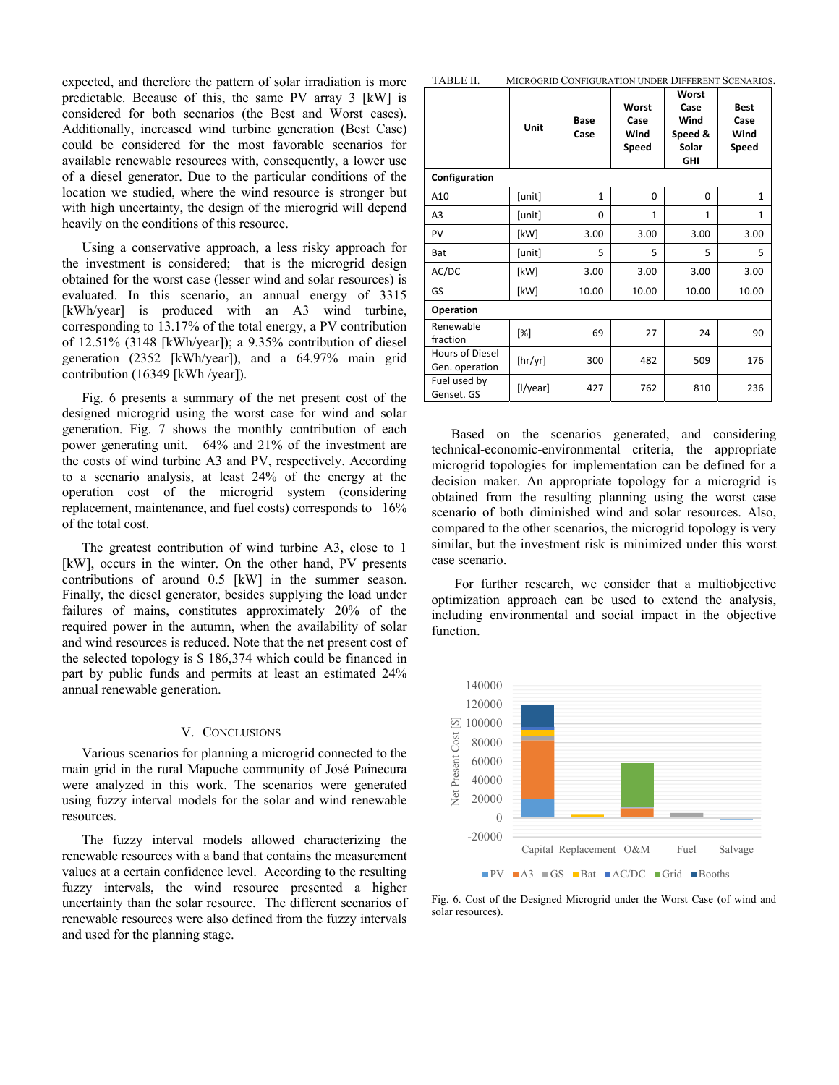expected, and therefore the pattern of solar irradiation is more predictable. Because of this, the same PV array 3 [kW] is considered for both scenarios (the Best and Worst cases). Additionally, increased wind turbine generation (Best Case) could be considered for the most favorable scenarios for available renewable resources with, consequently, a lower use of a diesel generator. Due to the particular conditions of the location we studied, where the wind resource is stronger but with high uncertainty, the design of the microgrid will depend heavily on the conditions of this resource.

Using a conservative approach, a less risky approach for the investment is considered; that is the microgrid design obtained for the worst case (lesser wind and solar resources) is evaluated. In this scenario, an annual energy of 3315 [kWh/year] is produced with an A3 wind turbine, corresponding to 13.17% of the total energy, a PV contribution of 12.51% (3148 [kWh/year]); a 9.35% contribution of diesel generation (2352 [kWh/year]), and a 64.97% main grid contribution (16349 [kWh /year]).

Fig. 6 presents a summary of the net present cost of the designed microgrid using the worst case for wind and solar generation. Fig. 7 shows the monthly contribution of each power generating unit. 64% and 21% of the investment are the costs of wind turbine A3 and PV, respectively. According to a scenario analysis, at least 24% of the energy at the operation cost of the microgrid system (considering replacement, maintenance, and fuel costs) corresponds to 16% of the total cost.

The greatest contribution of wind turbine A3, close to 1 [kW], occurs in the winter. On the other hand, PV presents contributions of around 0.5 [kW] in the summer season. Finally, the diesel generator, besides supplying the load under failures of mains, constitutes approximately 20% of the required power in the autumn, when the availability of solar and wind resources is reduced. Note that the net present cost of the selected topology is \$ 186,374 which could be financed in part by public funds and permits at least an estimated 24% annual renewable generation.

#### V. CONCLUSIONS

Various scenarios for planning a microgrid connected to the main grid in the rural Mapuche community of José Painecura were analyzed in this work. The scenarios were generated using fuzzy interval models for the solar and wind renewable resources.

The fuzzy interval models allowed characterizing the renewable resources with a band that contains the measurement values at a certain confidence level. According to the resulting fuzzy intervals, the wind resource presented a higher uncertainty than the solar resource. The different scenarios of renewable resources were also defined from the fuzzy intervals and used for the planning stage.

|                                   | Unit     | Base<br>Case | Worst<br>Case<br>Wind<br>Speed | Worst<br>Case<br>Wind<br>Speed &<br>Solar<br><b>GHI</b> | <b>Best</b><br>Case<br>Wind<br>Speed |  |  |  |  |
|-----------------------------------|----------|--------------|--------------------------------|---------------------------------------------------------|--------------------------------------|--|--|--|--|
| Configuration                     |          |              |                                |                                                         |                                      |  |  |  |  |
| A10                               | [unit]   | $\mathbf{1}$ | 0                              | $\Omega$                                                | $\mathbf{1}$                         |  |  |  |  |
| A <sub>3</sub>                    | [unit]   | $\Omega$     | $\mathbf{1}$                   | $\mathbf{1}$                                            | $\mathbf{1}$                         |  |  |  |  |
| PV                                | [kW]     | 3.00         | 3.00                           | 3.00                                                    | 3.00                                 |  |  |  |  |
| Bat                               | [unit]   | 5            | 5                              | 5                                                       | 5                                    |  |  |  |  |
| AC/DC                             | [kW]     | 3.00         | 3.00                           | 3.00                                                    | 3.00                                 |  |  |  |  |
| GS                                | [kW]     | 10.00        | 10.00                          | 10.00                                                   | 10.00                                |  |  |  |  |
| Operation                         |          |              |                                |                                                         |                                      |  |  |  |  |
| Renewable<br>fraction             | [%]      | 69           | 27                             | 24                                                      | 90                                   |  |  |  |  |
| Hours of Diesel<br>Gen. operation | [hr/yr]  | 300          | 482                            | 509                                                     | 176                                  |  |  |  |  |
| Fuel used by<br>Genset. GS        | [l/year] | 427          | 762                            | 810                                                     | 236                                  |  |  |  |  |

Based on the scenarios generated, and considering technical-economic-environmental criteria, the appropriate microgrid topologies for implementation can be defined for a decision maker. An appropriate topology for a microgrid is obtained from the resulting planning using the worst case scenario of both diminished wind and solar resources. Also, compared to the other scenarios, the microgrid topology is very similar, but the investment risk is minimized under this worst case scenario.

 For further research, we consider that a multiobjective optimization approach can be used to extend the analysis, including environmental and social impact in the objective function.



Fig. 6. Cost of the Designed Microgrid under the Worst Case (of wind and solar resources).